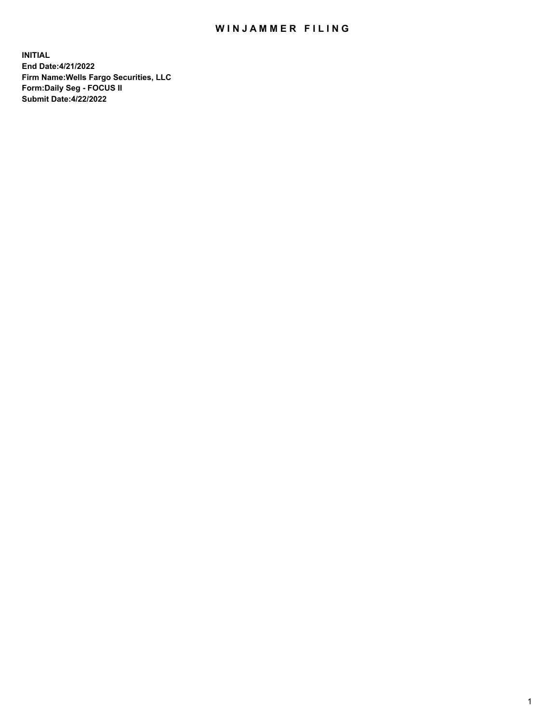## WIN JAMMER FILING

**INITIAL End Date:4/21/2022 Firm Name:Wells Fargo Securities, LLC Form:Daily Seg - FOCUS II Submit Date:4/22/2022**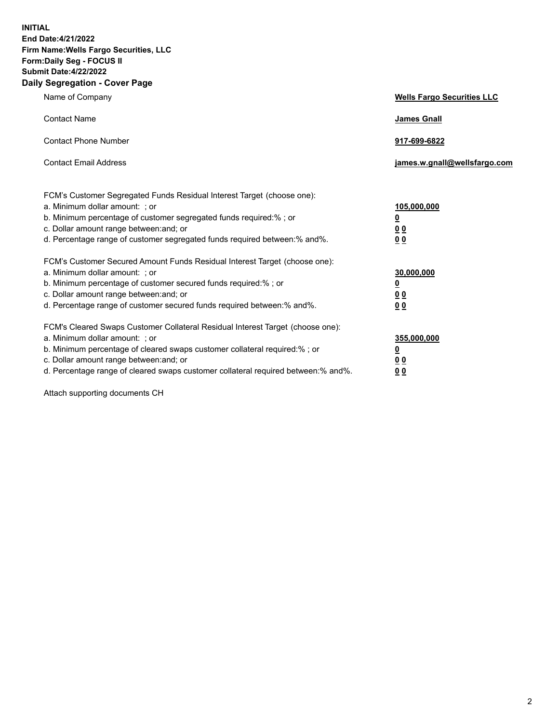**INITIAL End Date:4/21/2022 Firm Name:Wells Fargo Securities, LLC Form:Daily Seg - FOCUS II Submit Date:4/22/2022 Daily Segregation - Cover Page**

| Name of Company                                                                                                                                                                                                                                                                                                                | <b>Wells Fargo Securities LLC</b>                          |
|--------------------------------------------------------------------------------------------------------------------------------------------------------------------------------------------------------------------------------------------------------------------------------------------------------------------------------|------------------------------------------------------------|
| <b>Contact Name</b>                                                                                                                                                                                                                                                                                                            | <b>James Gnall</b>                                         |
| <b>Contact Phone Number</b>                                                                                                                                                                                                                                                                                                    | 917-699-6822                                               |
| <b>Contact Email Address</b>                                                                                                                                                                                                                                                                                                   | james.w.gnall@wellsfargo.com                               |
| FCM's Customer Segregated Funds Residual Interest Target (choose one):<br>a. Minimum dollar amount: ; or<br>b. Minimum percentage of customer segregated funds required:% ; or<br>c. Dollar amount range between: and; or<br>d. Percentage range of customer segregated funds required between:% and%.                         | 105,000,000<br><u>0</u><br>0 <sub>0</sub><br>00            |
| FCM's Customer Secured Amount Funds Residual Interest Target (choose one):<br>a. Minimum dollar amount: ; or<br>b. Minimum percentage of customer secured funds required:%; or<br>c. Dollar amount range between: and; or<br>d. Percentage range of customer secured funds required between:% and%.                            | 30,000,000<br><u>0</u><br>0 <sub>0</sub><br>0 <sub>0</sub> |
| FCM's Cleared Swaps Customer Collateral Residual Interest Target (choose one):<br>a. Minimum dollar amount: ; or<br>b. Minimum percentage of cleared swaps customer collateral required:% ; or<br>c. Dollar amount range between: and; or<br>d. Percentage range of cleared swaps customer collateral required between:% and%. | 355,000,000<br><u>0</u><br>00<br>00                        |

Attach supporting documents CH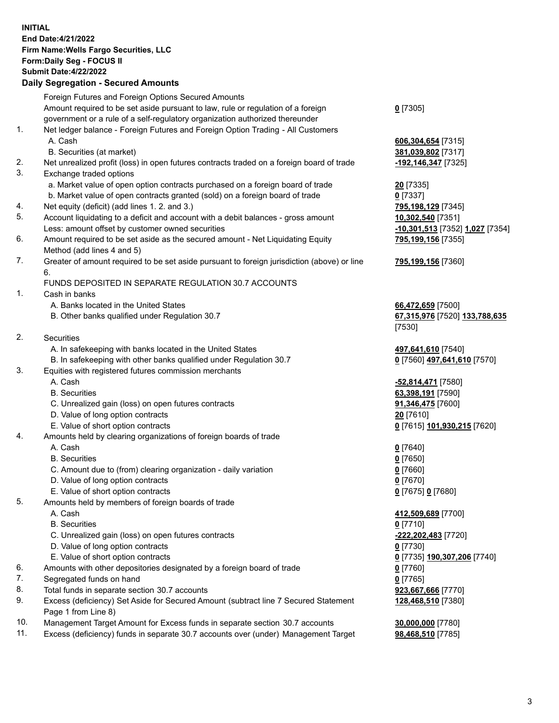**INITIAL End Date:4/21/2022 Firm Name:Wells Fargo Securities, LLC Form:Daily Seg - FOCUS II Submit Date:4/22/2022**

## **Daily Segregation - Secured Amounts**

|     | Foreign Futures and Foreign Options Secured Amounts                                         |                                              |
|-----|---------------------------------------------------------------------------------------------|----------------------------------------------|
|     | Amount required to be set aside pursuant to law, rule or regulation of a foreign            | $0$ [7305]                                   |
|     | government or a rule of a self-regulatory organization authorized thereunder                |                                              |
| 1.  | Net ledger balance - Foreign Futures and Foreign Option Trading - All Customers             |                                              |
|     | A. Cash                                                                                     | 606,304,654 [7315]                           |
|     | B. Securities (at market)                                                                   | 381,039,802 [7317]                           |
| 2.  | Net unrealized profit (loss) in open futures contracts traded on a foreign board of trade   | -192,146,347 [7325]                          |
| 3.  | Exchange traded options                                                                     |                                              |
|     | a. Market value of open option contracts purchased on a foreign board of trade              | 20 [7335]                                    |
|     | b. Market value of open contracts granted (sold) on a foreign board of trade                | $0$ [7337]                                   |
| 4.  | Net equity (deficit) (add lines 1. 2. and 3.)                                               | 795,198,129 [7345]                           |
| 5.  | Account liquidating to a deficit and account with a debit balances - gross amount           | 10,302,540 [7351]                            |
|     | Less: amount offset by customer owned securities                                            | <mark>-10,301,513</mark> [7352] 1,027 [7354] |
| 6.  | Amount required to be set aside as the secured amount - Net Liquidating Equity              | 795,199,156 [7355]                           |
|     | Method (add lines 4 and 5)                                                                  |                                              |
| 7.  | Greater of amount required to be set aside pursuant to foreign jurisdiction (above) or line | 795,199,156 [7360]                           |
|     | 6.                                                                                          |                                              |
|     | FUNDS DEPOSITED IN SEPARATE REGULATION 30.7 ACCOUNTS                                        |                                              |
| 1.  | Cash in banks                                                                               |                                              |
|     | A. Banks located in the United States                                                       | 66,472,659 [7500]                            |
|     | B. Other banks qualified under Regulation 30.7                                              | 67,315,976 [7520] 133,788,635                |
|     |                                                                                             | [7530]                                       |
| 2.  | Securities                                                                                  |                                              |
|     | A. In safekeeping with banks located in the United States                                   | 497,641,610 [7540]                           |
|     | B. In safekeeping with other banks qualified under Regulation 30.7                          |                                              |
| 3.  | Equities with registered futures commission merchants                                       | 0 [7560] 497,641,610 [7570]                  |
|     | A. Cash                                                                                     |                                              |
|     | <b>B.</b> Securities                                                                        | -52,814,471 [7580]<br>63,398,191 [7590]      |
|     |                                                                                             |                                              |
|     | C. Unrealized gain (loss) on open futures contracts                                         | 91,346,475 [7600]                            |
|     | D. Value of long option contracts                                                           | 20 [7610]                                    |
| 4.  | E. Value of short option contracts                                                          | 0 [7615] 101,930,215 [7620]                  |
|     | Amounts held by clearing organizations of foreign boards of trade<br>A. Cash                |                                              |
|     | <b>B.</b> Securities                                                                        | $0$ [7640]                                   |
|     |                                                                                             | $0$ [7650]                                   |
|     | C. Amount due to (from) clearing organization - daily variation                             | $0$ [7660]                                   |
|     | D. Value of long option contracts                                                           | $0$ [7670]                                   |
|     | E. Value of short option contracts                                                          | 0 [7675] 0 [7680]                            |
| 5.  | Amounts held by members of foreign boards of trade                                          |                                              |
|     | A. Cash                                                                                     | 412,509,689 [7700]                           |
|     | <b>B.</b> Securities                                                                        | $0$ [7710]                                   |
|     | C. Unrealized gain (loss) on open futures contracts                                         | -222,202,483 [7720]                          |
|     | D. Value of long option contracts                                                           | $0$ [7730]                                   |
|     | E. Value of short option contracts                                                          | 0 [7735] 190,307,206 [7740]                  |
| 6.  | Amounts with other depositories designated by a foreign board of trade                      | $0$ [7760]                                   |
| 7.  | Segregated funds on hand                                                                    | $0$ [7765]                                   |
| 8.  | Total funds in separate section 30.7 accounts                                               | 923,667,666 [7770]                           |
| 9.  | Excess (deficiency) Set Aside for Secured Amount (subtract line 7 Secured Statement         | 128,468,510 [7380]                           |
|     | Page 1 from Line 8)                                                                         |                                              |
| 10. | Management Target Amount for Excess funds in separate section 30.7 accounts                 | 30,000,000 [7780]                            |

11. Excess (deficiency) funds in separate 30.7 accounts over (under) Management Target **98,468,510** [7785]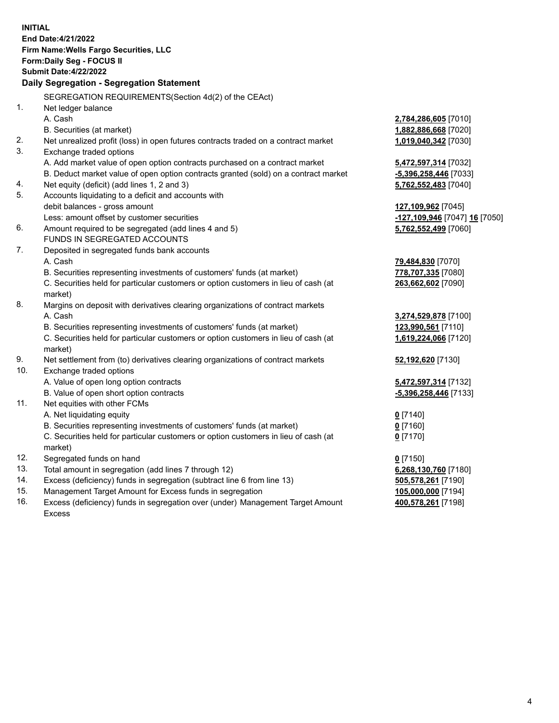**INITIAL End Date:4/21/2022 Firm Name:Wells Fargo Securities, LLC Form:Daily Seg - FOCUS II Submit Date:4/22/2022 Daily Segregation - Segregation Statement** SEGREGATION REQUIREMENTS(Section 4d(2) of the CEAct) 1. Net ledger balance A. Cash **2,784,286,605** [7010] B. Securities (at market) **1,882,886,668** [7020] 2. Net unrealized profit (loss) in open futures contracts traded on a contract market **1,019,040,342** [7030] 3. Exchange traded options A. Add market value of open option contracts purchased on a contract market **5,472,597,314** [7032] B. Deduct market value of open option contracts granted (sold) on a contract market **-5,396,258,446** [7033] 4. Net equity (deficit) (add lines 1, 2 and 3) **5,762,552,483** [7040] 5. Accounts liquidating to a deficit and accounts with debit balances - gross amount **127,109,962** [7045] Less: amount offset by customer securities **-127,109,946** [7047] **16** [7050] 6. Amount required to be segregated (add lines 4 and 5) **5,762,552,499** [7060] FUNDS IN SEGREGATED ACCOUNTS 7. Deposited in segregated funds bank accounts A. Cash **79,484,830** [7070] B. Securities representing investments of customers' funds (at market) **778,707,335** [7080] C. Securities held for particular customers or option customers in lieu of cash (at market) **263,662,602** [7090] 8. Margins on deposit with derivatives clearing organizations of contract markets A. Cash **3,274,529,878** [7100] B. Securities representing investments of customers' funds (at market) **123,990,561** [7110] C. Securities held for particular customers or option customers in lieu of cash (at market) **1,619,224,066** [7120] 9. Net settlement from (to) derivatives clearing organizations of contract markets **52,192,620** [7130] 10. Exchange traded options A. Value of open long option contracts **5,472,597,314** [7132] B. Value of open short option contracts **-5,396,258,446** [7133] 11. Net equities with other FCMs A. Net liquidating equity **0** [7140] B. Securities representing investments of customers' funds (at market) **0** [7160] C. Securities held for particular customers or option customers in lieu of cash (at market) **0** [7170] 12. Segregated funds on hand **0** [7150] 13. Total amount in segregation (add lines 7 through 12) **6,268,130,760** [7180] 14. Excess (deficiency) funds in segregation (subtract line 6 from line 13) **505,578,261** [7190] 15. Management Target Amount for Excess funds in segregation **105,000,000** [7194] 16. Excess (deficiency) funds in segregation over (under) Management Target Amount **400,578,261** [7198]

Excess